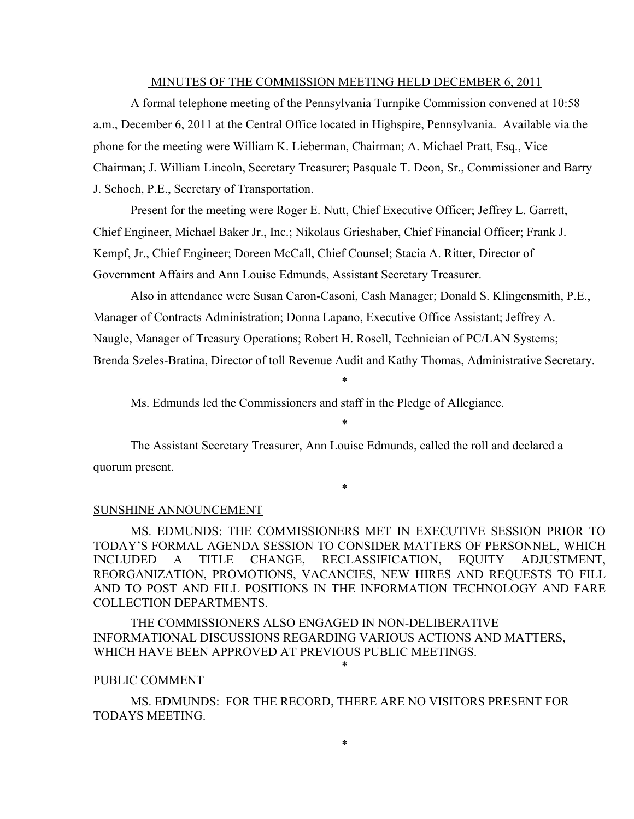#### MINUTES OF THE COMMISSION MEETING HELD DECEMBER 6, 2011

A formal telephone meeting of the Pennsylvania Turnpike Commission convened at 10:58 a.m., December 6, 2011 at the Central Office located in Highspire, Pennsylvania. Available via the phone for the meeting were William K. Lieberman, Chairman; A. Michael Pratt, Esq., Vice Chairman; J. William Lincoln, Secretary Treasurer; Pasquale T. Deon, Sr., Commissioner and Barry J. Schoch, P.E., Secretary of Transportation.

Present for the meeting were Roger E. Nutt, Chief Executive Officer; Jeffrey L. Garrett, Chief Engineer, Michael Baker Jr., Inc.; Nikolaus Grieshaber, Chief Financial Officer; Frank J. Kempf, Jr., Chief Engineer; Doreen McCall, Chief Counsel; Stacia A. Ritter, Director of Government Affairs and Ann Louise Edmunds, Assistant Secretary Treasurer.

Also in attendance were Susan Caron-Casoni, Cash Manager; Donald S. Klingensmith, P.E., Manager of Contracts Administration; Donna Lapano, Executive Office Assistant; Jeffrey A. Naugle, Manager of Treasury Operations; Robert H. Rosell, Technician of PC/LAN Systems; Brenda Szeles-Bratina, Director of toll Revenue Audit and Kathy Thomas, Administrative Secretary.

Ms. Edmunds led the Commissioners and staff in the Pledge of Allegiance.

\*

\*

The Assistant Secretary Treasurer, Ann Louise Edmunds, called the roll and declared a quorum present.

\*

#### SUNSHINE ANNOUNCEMENT

MS. EDMUNDS: THE COMMISSIONERS MET IN EXECUTIVE SESSION PRIOR TO TODAY'S FORMAL AGENDA SESSION TO CONSIDER MATTERS OF PERSONNEL, WHICH INCLUDED A TITLE CHANGE, RECLASSIFICATION, EQUITY ADJUSTMENT, REORGANIZATION, PROMOTIONS, VACANCIES, NEW HIRES AND REQUESTS TO FILL AND TO POST AND FILL POSITIONS IN THE INFORMATION TECHNOLOGY AND FARE COLLECTION DEPARTMENTS.

THE COMMISSIONERS ALSO ENGAGED IN NON-DELIBERATIVE INFORMATIONAL DISCUSSIONS REGARDING VARIOUS ACTIONS AND MATTERS, WHICH HAVE BEEN APPROVED AT PREVIOUS PUBLIC MEETINGS.

#### PUBLIC COMMENT

MS. EDMUNDS: FOR THE RECORD, THERE ARE NO VISITORS PRESENT FOR TODAYS MEETING.

\*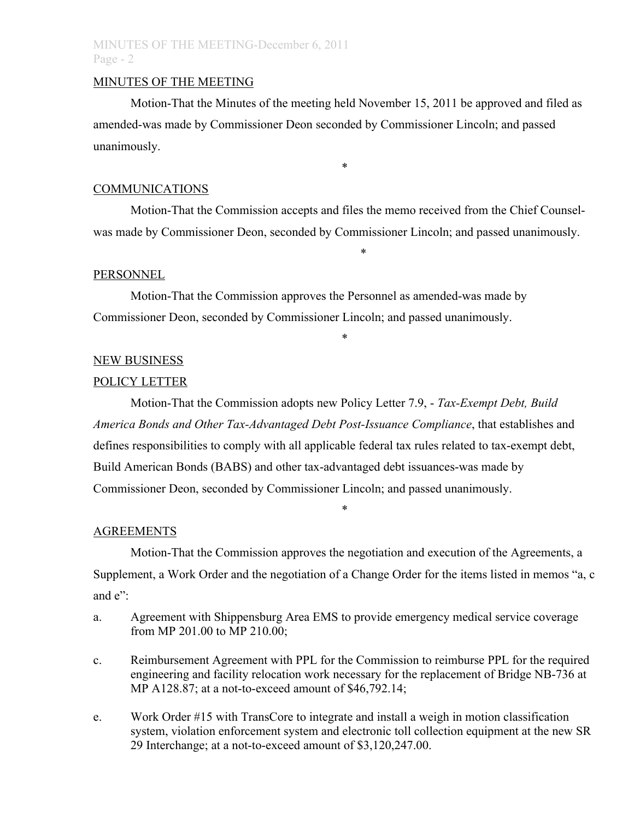## MINUTES OF THE MEETING

Motion-That the Minutes of the meeting held November 15, 2011 be approved and filed as amended-was made by Commissioner Deon seconded by Commissioner Lincoln; and passed unanimously.

\*

#### COMMUNICATIONS

Motion-That the Commission accepts and files the memo received from the Chief Counselwas made by Commissioner Deon, seconded by Commissioner Lincoln; and passed unanimously.

\*

\*

#### PERSONNEL

Motion-That the Commission approves the Personnel as amended-was made by Commissioner Deon, seconded by Commissioner Lincoln; and passed unanimously.

NEW BUSINESS

# POLICY LETTER

Motion-That the Commission adopts new Policy Letter 7.9, - *Tax-Exempt Debt, Build America Bonds and Other Tax-Advantaged Debt Post-Issuance Compliance*, that establishes and defines responsibilities to comply with all applicable federal tax rules related to tax-exempt debt, Build American Bonds (BABS) and other tax-advantaged debt issuances-was made by Commissioner Deon, seconded by Commissioner Lincoln; and passed unanimously.

### AGREEMENTS

Motion-That the Commission approves the negotiation and execution of the Agreements, a Supplement, a Work Order and the negotiation of a Change Order for the items listed in memos "a, c and e"

\*

- a. Agreement with Shippensburg Area EMS to provide emergency medical service coverage from MP 201.00 to MP 210.00;
- c. Reimbursement Agreement with PPL for the Commission to reimburse PPL for the required engineering and facility relocation work necessary for the replacement of Bridge NB-736 at MP A128.87; at a not-to-exceed amount of \$46,792.14;
- e. Work Order #15 with TransCore to integrate and install a weigh in motion classification system, violation enforcement system and electronic toll collection equipment at the new SR 29 Interchange; at a not-to-exceed amount of \$3,120,247.00.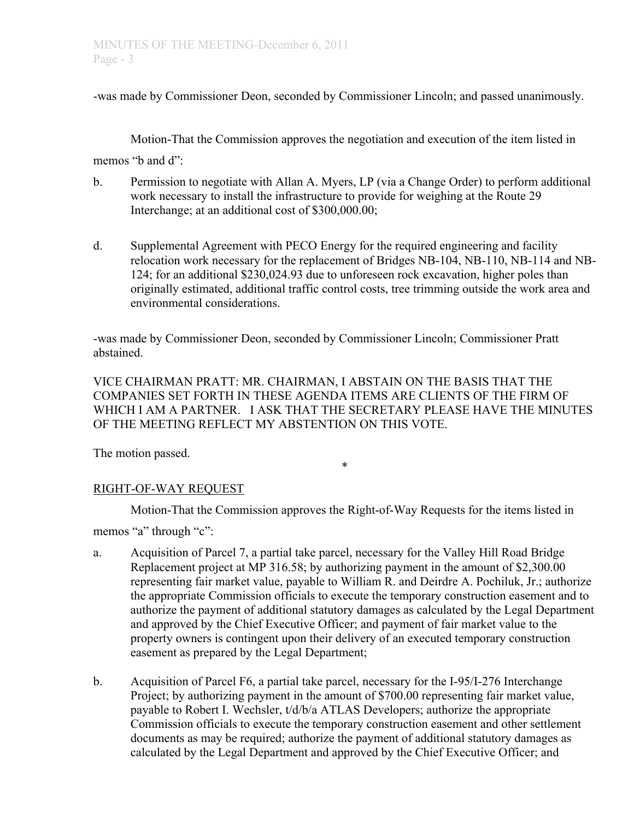-was made by Commissioner Deon, seconded by Commissioner Lincoln; and passed unanimously.

Motion-That the Commission approves the negotiation and execution of the item listed in

memos "b and d":

- b. Permission to negotiate with Allan A. Myers, LP (via a Change Order) to perform additional work necessary to install the infrastructure to provide for weighing at the Route 29 Interchange; at an additional cost of \$300,000.00;
- d. Supplemental Agreement with PECO Energy for the required engineering and facility relocation work necessary for the replacement of Bridges NB-104, NB-110, NB-114 and NB-124; for an additional \$230,024.93 due to unforeseen rock excavation, higher poles than originally estimated, additional traffic control costs, tree trimming outside the work area and environmental considerations.

-was made by Commissioner Deon, seconded by Commissioner Lincoln; Commissioner Pratt abstained.

VICE CHAIRMAN PRATT: MR. CHAIRMAN, I ABSTAIN ON THE BASIS THAT THE COMPANIES SET FORTH IN THESE AGENDA ITEMS ARE CLIENTS OF THE FIRM OF WHICH I AM A PARTNER. I ASK THAT THE SECRETARY PLEASE HAVE THE MINUTES OF THE MEETING REFLECT MY ABSTENTION ON THIS VOTE.

The motion passed.

\*

## RIGHT-OF-WAY REQUEST

Motion-That the Commission approves the Right-of-Way Requests for the items listed in

memos "a" through "c":

- a. Acquisition of Parcel 7, a partial take parcel, necessary for the Valley Hill Road Bridge Replacement project at MP 316.58; by authorizing payment in the amount of \$2,300.00 representing fair market value, payable to William R. and Deirdre A. Pochiluk, Jr.; authorize the appropriate Commission officials to execute the temporary construction easement and to authorize the payment of additional statutory damages as calculated by the Legal Department and approved by the Chief Executive Officer; and payment of fair market value to the property owners is contingent upon their delivery of an executed temporary construction easement as prepared by the Legal Department;
- b. Acquisition of Parcel F6, a partial take parcel, necessary for the I-95/I-276 Interchange Project; by authorizing payment in the amount of \$700.00 representing fair market value, payable to Robert I. Wechsler, t/d/b/a ATLAS Developers; authorize the appropriate Commission officials to execute the temporary construction easement and other settlement documents as may be required; authorize the payment of additional statutory damages as calculated by the Legal Department and approved by the Chief Executive Officer; and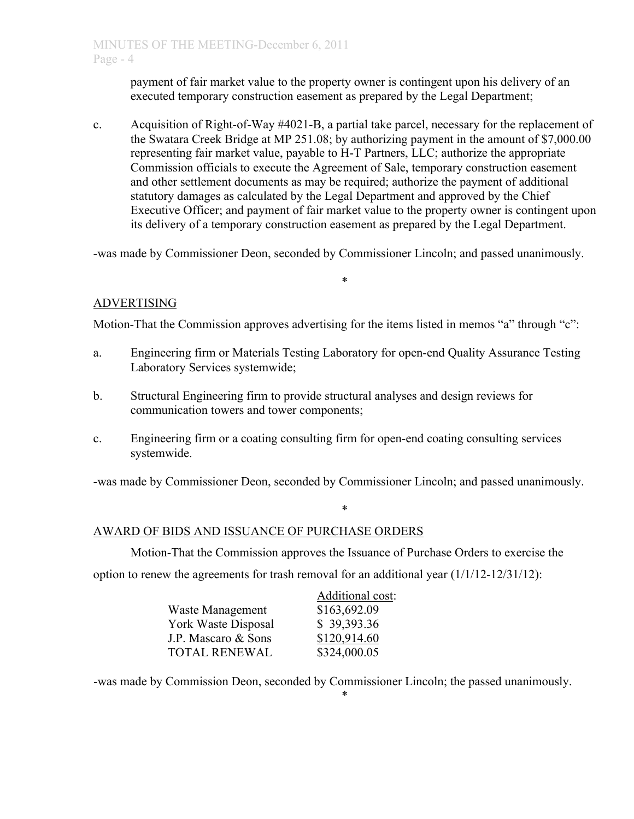payment of fair market value to the property owner is contingent upon his delivery of an executed temporary construction easement as prepared by the Legal Department;

c. Acquisition of Right-of-Way #4021-B, a partial take parcel, necessary for the replacement of the Swatara Creek Bridge at MP 251.08; by authorizing payment in the amount of \$7,000.00 representing fair market value, payable to H-T Partners, LLC; authorize the appropriate Commission officials to execute the Agreement of Sale, temporary construction easement and other settlement documents as may be required; authorize the payment of additional statutory damages as calculated by the Legal Department and approved by the Chief Executive Officer; and payment of fair market value to the property owner is contingent upon its delivery of a temporary construction easement as prepared by the Legal Department.

-was made by Commissioner Deon, seconded by Commissioner Lincoln; and passed unanimously.

\*

## ADVERTISING

Motion-That the Commission approves advertising for the items listed in memos "a" through "c":

- a. Engineering firm or Materials Testing Laboratory for open-end Quality Assurance Testing Laboratory Services systemwide;
- b. Structural Engineering firm to provide structural analyses and design reviews for communication towers and tower components;
- c. Engineering firm or a coating consulting firm for open-end coating consulting services systemwide.

-was made by Commissioner Deon, seconded by Commissioner Lincoln; and passed unanimously.

\*

### AWARD OF BIDS AND ISSUANCE OF PURCHASE ORDERS

Motion-That the Commission approves the Issuance of Purchase Orders to exercise the option to renew the agreements for trash removal for an additional year (1/1/12-12/31/12):

|                      | Additional cost: |
|----------------------|------------------|
| Waste Management     | \$163,692.09     |
| York Waste Disposal  | \$39,393.36      |
| J.P. Mascaro & Sons  | \$120,914.60     |
| <b>TOTAL RENEWAL</b> | \$324,000.05     |

-was made by Commission Deon, seconded by Commissioner Lincoln; the passed unanimously.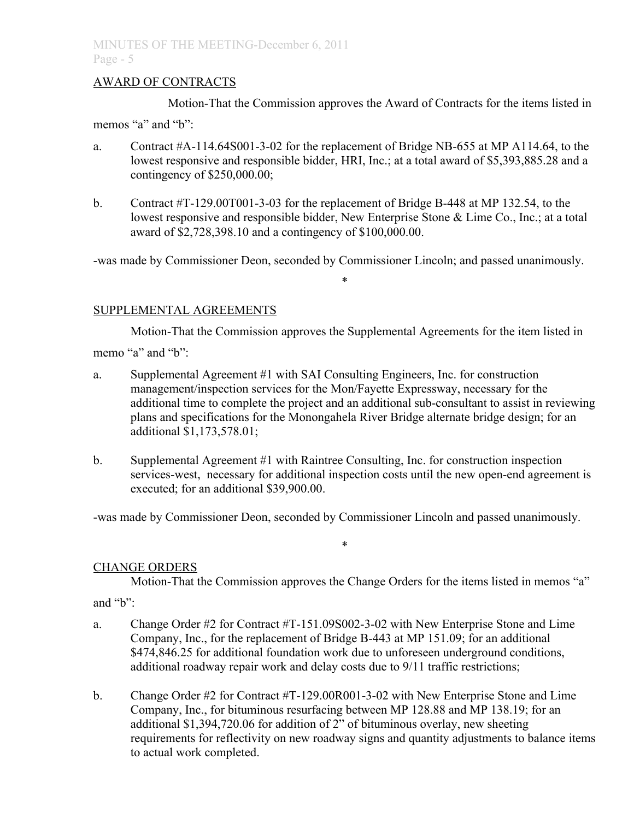## AWARD OF CONTRACTS

Motion-That the Commission approves the Award of Contracts for the items listed in

memos "a" and "b":

- a. Contract #A-114.64S001-3-02 for the replacement of Bridge NB-655 at MP A114.64, to the lowest responsive and responsible bidder, HRI, Inc.; at a total award of \$5,393,885.28 and a contingency of \$250,000.00;
- b. Contract #T-129.00T001-3-03 for the replacement of Bridge B-448 at MP 132.54, to the lowest responsive and responsible bidder, New Enterprise Stone & Lime Co., Inc.; at a total award of \$2,728,398.10 and a contingency of \$100,000.00.

-was made by Commissioner Deon, seconded by Commissioner Lincoln; and passed unanimously.

\*

## SUPPLEMENTAL AGREEMENTS

Motion-That the Commission approves the Supplemental Agreements for the item listed in memo "a" and "b":

- a. Supplemental Agreement #1 with SAI Consulting Engineers, Inc. for construction management/inspection services for the Mon/Fayette Expressway, necessary for the additional time to complete the project and an additional sub-consultant to assist in reviewing plans and specifications for the Monongahela River Bridge alternate bridge design; for an additional \$1,173,578.01;
- b. Supplemental Agreement #1 with Raintree Consulting, Inc. for construction inspection services-west, necessary for additional inspection costs until the new open-end agreement is executed; for an additional \$39,900.00.

-was made by Commissioner Deon, seconded by Commissioner Lincoln and passed unanimously.

### CHANGE ORDERS

Motion-That the Commission approves the Change Orders for the items listed in memos "a"

\*

and "b":

- a. Change Order #2 for Contract #T-151.09S002-3-02 with New Enterprise Stone and Lime Company, Inc., for the replacement of Bridge B-443 at MP 151.09; for an additional \$474,846.25 for additional foundation work due to unforeseen underground conditions, additional roadway repair work and delay costs due to 9/11 traffic restrictions;
- b. Change Order #2 for Contract #T-129.00R001-3-02 with New Enterprise Stone and Lime Company, Inc., for bituminous resurfacing between MP 128.88 and MP 138.19; for an additional \$1,394,720.06 for addition of 2" of bituminous overlay, new sheeting requirements for reflectivity on new roadway signs and quantity adjustments to balance items to actual work completed.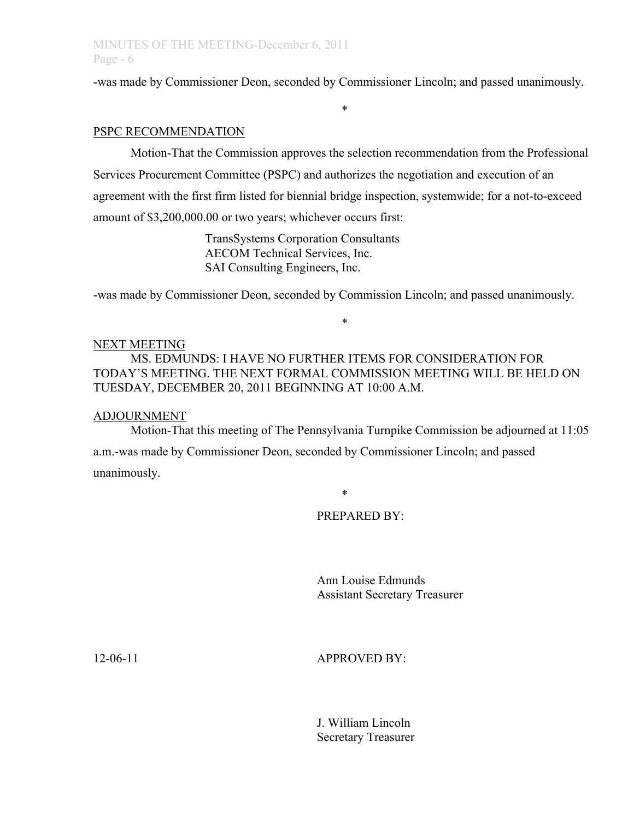-was made by Commissioner Deon, seconded by Commissioner Lincoln; and passed unanimously.

\*

### PSPC RECOMMENDATION

Motion-That the Commission approves the selection recommendation from the Professional Services Procurement Committee (PSPC) and authorizes the negotiation and execution of an agreement with the first firm listed for biennial bridge inspection, systemwide; for a not-to-exceed amount of \$3,200,000.00 or two years; whichever occurs first:

> TransSystems Corporation Consultants AECOM Technical Services, Inc. SAI Consulting Engineers, Inc.

-was made by Commissioner Deon, seconded by Commission Lincoln; and passed unanimously.

\*

#### NEXT MEETING

MS. EDMUNDS: I HAVE NO FURTHER ITEMS FOR CONSIDERATION FOR TODAY'S MEETING. THE NEXT FORMAL COMMISSION MEETING WILL BE HELD ON TUESDAY, DECEMBER 20, 2011 BEGINNING AT 10:00 A.M.

#### ADJOURNMENT

Motion-That this meeting of The Pennsylvania Turnpike Commission be adjourned at 11:05 a.m.-was made by Commissioner Deon, seconded by Commissioner Lincoln; and passed unanimously.

\*

### PREPARED BY:

Ann Louise Edmunds Assistant Secretary Treasurer

## 12-06-11 APPROVED BY:

J. William Lincoln Secretary Treasurer